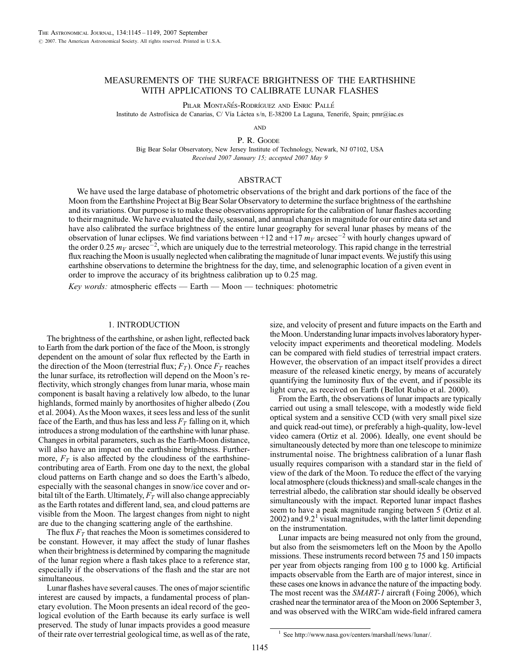# MEASUREMENTS OF THE SURFACE BRIGHTNESS OF THE EARTHSHINE WITH APPLICATIONS TO CALIBRATE LUNAR FLASHES

Pilar Montañés-Rodríguez and Enric Pallé

Instituto de Astrofísica de Canarias, C/ Vía Láctea s/n, E-38200 La Laguna, Tenerife, Spain; pmr@iac.es

**AND** 

P. R. GOODE

Big Bear Solar Observatory, New Jersey Institute of Technology, Newark, NJ 07102, USA Recei*v*ed 2007 January 15; accepted 2007 May 9

## ABSTRACT

We have used the large database of photometric observations of the bright and dark portions of the face of the Moon from the Earthshine Project at Big Bear Solar Observatory to determine the surface brightness of the earthshine and its variations. Our purpose is to make these observations appropriate for the calibration of lunar flashes according to their magnitude. We have evaluated the daily, seasonal, and annual changes in magnitude for our entire data set and have also calibrated the surface brightness of the entire lunar geography for several lunar phases by means of the observation of lunar eclipses. We find variations between +12 and +17  $m_V$  arcsec<sup>-2</sup> with hourly changes upward of the order 0.25  $m_V$  arcsec<sup>-2</sup>, which are uniquely due to the terrestrial meteorology. This rapid change in the terrestrial flux reaching the Moon is usually neglected when calibrating the magnitude of lunar impact events. We justify this using earthshine observations to determine the brightness for the day, time, and selenographic location of a given event in order to improve the accuracy of its brightness calibration up to 0.25 mag.

Key words: atmospheric effects — Earth — Moon — techniques: photometric

# 1. INTRODUCTION

The brightness of the earthshine, or ashen light, reflected back to Earth from the dark portion of the face of the Moon, is strongly dependent on the amount of solar flux reflected by the Earth in the direction of the Moon (terrestrial flux;  $F_T$ ). Once  $F_T$  reaches the lunar surface, its retroflection will depend on the Moon's reflectivity, which strongly changes from lunar maria, whose main component is basalt having a relatively low albedo, to the lunar highlands, formed mainly by anorthosites of higher albedo (Zou et al. 2004). As the Moon waxes, it sees less and less of the sunlit face of the Earth, and thus has less and less  $F_T$  falling on it, which introduces a strong modulation of the earthshine with lunar phase. Changes in orbital parameters, such as the Earth-Moon distance, will also have an impact on the earthshine brightness. Furthermore,  $F<sub>T</sub>$  is also affected by the cloudiness of the earthshinecontributing area of Earth. From one day to the next, the global cloud patterns on Earth change and so does the Earth's albedo, especially with the seasonal changes in snow/ice cover and orbital tilt of the Earth. Ultimately,  $F_T$  will also change appreciably as the Earth rotates and different land, sea, and cloud patterns are visible from the Moon. The largest changes from night to night are due to the changing scattering angle of the earthshine.

The flux  $F_T$  that reaches the Moon is sometimes considered to be constant. However, it may affect the study of lunar flashes when their brightness is determined by comparing the magnitude of the lunar region where a flash takes place to a reference star, especially if the observations of the flash and the star are not simultaneous.

Lunar flashes have several causes. The ones of major scientific interest are caused by impacts, a fundamental process of planetary evolution. The Moon presents an ideal record of the geological evolution of the Earth because its early surface is well preserved. The study of lunar impacts provides a good measure of their rate over terrestrial geological time, as well as of the rate, size, and velocity of present and future impacts on the Earth and the Moon. Understanding lunar impacts involves laboratory hypervelocity impact experiments and theoretical modeling. Models can be compared with field studies of terrestrial impact craters. However, the observation of an impact itself provides a direct measure of the released kinetic energy, by means of accurately quantifying the luminosity flux of the event, and if possible its light curve, as received on Earth (Bellot Rubio et al. 2000).

From the Earth, the observations of lunar impacts are typically carried out using a small telescope, with a modestly wide field optical system and a sensitive CCD (with very small pixel size and quick read-out time), or preferably a high-quality, low-level video camera (Ortiz et al. 2006). Ideally, one event should be simultaneously detected by more than one telescope to minimize instrumental noise. The brightness calibration of a lunar flash usually requires comparison with a standard star in the field of view of the dark of the Moon. To reduce the effect of the varying local atmosphere (clouds thickness) and small-scale changes in the terrestrial albedo, the calibration star should ideally be observed simultaneously with the impact. Reported lunar impact flashes seem to have a peak magnitude ranging between 5 (Ortiz et al. 2002) and 9.2<sup>1</sup> visual magnitudes, with the latter limit depending on the instrumentation.

Lunar impacts are being measured not only from the ground, but also from the seismometers left on the Moon by the Apollo missions. These instruments record between 75 and 150 impacts per year from objects ranging from 100 g to 1000 kg. Artificial impacts observable from the Earth are of major interest, since in these cases one knows in advance the nature of the impacting body. The most recent was the SMART-1 aircraft (Foing 2006), which crashed near the terminator area of the Moon on 2006 September 3, and was observed with the WIRCam wide-field infrared camera

<sup>&</sup>lt;sup>1</sup> See http://www.nasa.gov/centers/marshall/news/lunar/.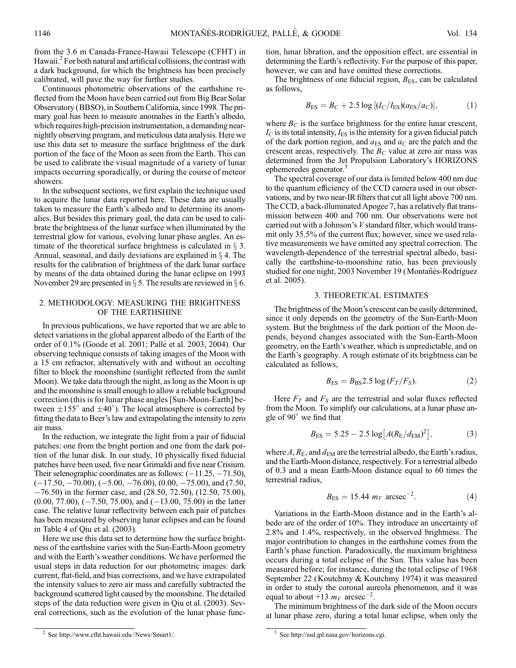from the 3.6 m Canada-France-Hawaii Telescope (CFHT) in Hawaii.<sup>2</sup> For both natural and artificial collisions, the contrast with a dark background, for which the brightness has been precisely calibrated, will pave the way for further studies.

Continuous photometric observations of the earthshine reflected from the Moon have been carried out from Big Bear Solar Observatory (BBSO), in Southern California, since 1998. The primary goal has been to measure anomalies in the Earth's albedo, which requires high-precision instrumentation, a demanding nearnightly observing program, and meticulous data analysis. Here we use this data set to measure the surface brightness of the dark portion of the face of the Moon as seen from the Earth. This can be used to calibrate the visual magnitude of a variety of lunar impacts occurring sporadically, or during the course of meteor showers.

In the subsequent sections, we first explain the technique used to acquire the lunar data reported here. These data are usually taken to measure the Earth's albedo and to determine its anomalies. But besides this primary goal, the data can be used to calibrate the brightness of the lunar surface when illuminated by the terrestrial glow for various, evolving lunar phase angles. An estimate of the theoretical surface brightness is calculated in  $\S$  3. Annual, seasonal, and daily deviations are explained in  $\S$  4. The results for the calibration of brightness of the dark lunar surface by means of the data obtained during the lunar eclipse on 1993 November 29 are presented in  $\S$  5. The results are reviewed in  $\S$  6.

## 2. METHODOLOGY: MEASURING THE BRIGHTNESS OF THE EARTHSHINE

In previous publications, we have reported that we are able to detect variations in the global apparent albedo of the Earth of the order of 0.1% (Goode et al. 2001; Palle´ et al. 2003, 2004). Our observing technique consists of taking images of the Moon with a 15 cm refractor, alternatively with and without an occulting filter to block the moonshine (sunlight reflected from the sunlit Moon). We take data through the night, as long as the Moon is up and the moonshine is small enough to allow a reliable background correction (this is for lunar phase angles [Sun-Moon-Earth] between  $\pm 155^\circ$  and  $\pm 40^\circ$ ). The local atmosphere is corrected by fitting the data to Beer's law and extrapolating the intensity to zero air mass.

In the reduction, we integrate the light from a pair of fiducial patches: one from the bright portion and one from the dark portion of the lunar disk. In our study, 10 physically fixed fiducial patches have been used, five near Grimaldi and five near Crisium. Their selenographic coordinates are as follows:  $(-11.25, -71.50)$ ,  $(-17.50, -70.00), (-5.00, -76.00), (0.00, -75.00),$  and  $(7.50,$  $-76.50$ ) in the former case, and (28.50, 72.50), (12.50, 75.00),  $(0.00, 77.00), (-7.50, 75.00),$  and  $(-13.00, 75.00)$  in the latter case. The relative lunar reflectivity between each pair of patches has been measured by observing lunar eclipses and can be found in Table 4 of Qiu et al. (2003).

Here we use this data set to determine how the surface brightness of the earthshine varies with the Sun-Earth-Moon geometry and with the Earth's weather conditions. We have performed the usual steps in data reduction for our photometric images: dark current, flat-field, and bias corrections, and we have extrapolated the intensity values to zero air mass and carefully subtracted the background scattered light caused by the moonshine. The detailed steps of the data reduction were given in Qiu et al. (2003). Several corrections, such as the evolution of the lunar phase function, lunar libration, and the opposition effect, are essential in determining the Earth's reflectivity. For the purpose of this paper, however, we can and have omitted these corrections.

The brightness of one fiducial region,  $B_{ES}$ , can be calculated as follows,

$$
B_{\rm ES} = B_C + 2.5 \log \left[ (I_C/I_{\rm ES}) (a_{\rm ES}/a_C) \right],\tag{1}
$$

where  $B_C$  is the surface brightness for the entire lunar crescent,  $I_{\rm C}$  is its total intensity,  $I_{\rm ES}$  is the intensity for a given fiducial patch of the dark portion region, and  $a_{ES}$  and  $a_C$  are the patch and the crescent areas, respectively. The  $B<sub>C</sub>$  value at zero air mass was determined from the Jet Propulsion Laboratory's HORIZONS ephemeredes generator.<sup>3</sup>

The spectral coverage of our data is limited below 400 nm due to the quantum efficiency of the CCD camera used in our observations, and by two near-IR filters that cut all light above 700 nm. The CCD, a back-illuminated Apogee 7, has a relatively flat transmission between 400 and 700 nm. Our observations were not carried out with a Johnson's V standard filter, which would transmit only 35.5% of the current flux; however, since we used relative measurements we have omitted any spectral correction. The wavelength-dependence of the terrestrial spectral albedo, basically the earthshine-to-moonshine ratio, has been previously studied for one night, 2003 November 19 (Montañés-Rodríguez) et al. 2005).

# 3. THEORETICAL ESTIMATES

The brightness of the Moon's crescent can be easily determined, since it only depends on the geometry of the Sun-Earth-Moon system. But the brightness of the dark portion of the Moon depends, beyond changes associated with the Sun-Earth-Moon geometry, on the Earth's weather, which is unpredictable, and on the Earth's geography. A rough estimate of its brightness can be calculated as follows,

$$
B_{\rm ES} = B_{\rm BS} 2.5 \log \left( F_T / F_S \right). \tag{2}
$$

Here  $F_T$  and  $F_S$  are the terrestrial and solar fluxes reflected from the Moon. To simplify our calculations, at a lunar phase angle of 90° we find that

$$
B_{\rm ES} = 5.25 - 2.5 \log \left[ A(R_{\rm E}/d_{\rm EM})^2 \right],\tag{3}
$$

where  $A$ ,  $R_E$ , and  $d_{EM}$  are the terrestrial albedo, the Earth's radius, and the Earth-Moon distance, respectively. For a terrestrial albedo of 0.3 and a mean Earth-Moon distance equal to 60 times the terrestrial radius,

$$
B_{\rm ES} = 15.44 \, m_V \, \, \text{arcsec}^{-2}.\tag{4}
$$

Variations in the Earth-Moon distance and in the Earth's albedo are of the order of 10%. They introduce an uncertainty of 2.8% and 1.4%, respectively, in the observed brightness. The major contribution to changes in the earthshine comes from the Earth's phase function. Paradoxically, the maximum brightness occurs during a total eclipse of the Sun. This value has been measured before; for instance, during the total eclipse of 1968 September 22 (Koutchmy & Koutchmy 1974) it was measured in order to study the coronal aureola phenomenon, and it was equal to about +13  $m_V$  arcsec<sup>-2</sup>.

The minimum brightness of the dark side of the Moon occurs at lunar phase zero, during a total lunar eclipse, when only the

<sup>&</sup>lt;sup>2</sup> See http://www.cfht.hawaii.edu/News/Smart1/. <sup>3</sup> See http://ssd.jpl.nasa.gov/horizons.cgi.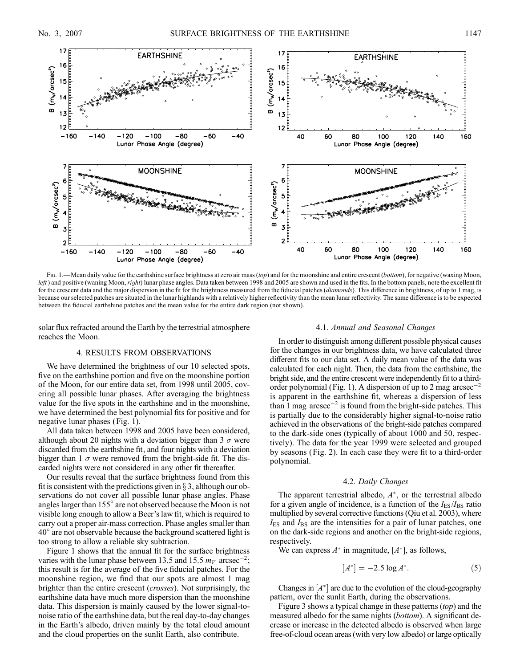

Fig. 1.—Mean daily value for the earthshine surface brightness at zero air mass (top) and for the moonshine and entire crescent (bottom), for negative (waxing Moon, left) and positive (waning Moon, right) lunar phase angles. Data taken between 1998 and 2005 are shown and used in the fits. In the bottom panels, note the excellent fit for the crescent data and the major dispersion in the fit for the brightness measured from the fiducial patches (*diamonds*). This difference in brightness, of up to 1 mag, is because our selected patches are situated in the lunar highlands with a relatively higher reflectivity than the mean lunar reflectivity. The same difference is to be expected between the fiducial earthshine patches and the mean value for the entire dark region (not shown).

solar flux refracted around the Earth by the terrestrial atmosphere reaches the Moon.

# 4. RESULTS FROM OBSERVATIONS

We have determined the brightness of our 10 selected spots, five on the earthshine portion and five on the moonshine portion of the Moon, for our entire data set, from 1998 until 2005, covering all possible lunar phases. After averaging the brightness value for the five spots in the earthshine and in the moonshine, we have determined the best polynomial fits for positive and for negative lunar phases (Fig. 1).

All data taken between 1998 and 2005 have been considered, although about 20 nights with a deviation bigger than 3  $\sigma$  were discarded from the earthshine fit, and four nights with a deviation bigger than 1  $\sigma$  were removed from the bright-side fit. The discarded nights were not considered in any other fit thereafter.

Our results reveal that the surface brightness found from this fit is consistent with the predictions given in  $\S 3$ , although our observations do not cover all possible lunar phase angles. Phase angles larger than  $155^\circ$  are not observed because the Moon is not visible long enough to allow a Beer's law fit, which is required to carry out a proper air-mass correction. Phase angles smaller than  $40^\circ$  are not observable because the background scattered light is too strong to allow a reliable sky subtraction.

Figure 1 shows that the annual fit for the surface brightness varies with the lunar phase between 13.5 and 15.5  $m_V$  arcsec<sup>-2</sup>; this result is for the average of the five fiducial patches. For the moonshine region, we find that our spots are almost 1 mag brighter than the entire crescent (crosses). Not surprisingly, the earthshine data have much more dispersion than the moonshine data. This dispersion is mainly caused by the lower signal-tonoise ratio of the earthshine data, but the real day-to-day changes in the Earth's albedo, driven mainly by the total cloud amount and the cloud properties on the sunlit Earth, also contribute.

#### 4.1. Annual and Seasonal Changes

In order to distinguish among different possible physical causes for the changes in our brightness data, we have calculated three different fits to our data set. A daily mean value of the data was calculated for each night. Then, the data from the earthshine, the bright side, and the entire crescent were independently fit to a thirdorder polynomial (Fig. 1). A dispersion of up to 2 mag  $\arccos 2$ is apparent in the earthshine fit, whereas a dispersion of less than 1 mag  $\arccosce^{-2}$  is found from the bright-side patches. This is partially due to the considerably higher signal-to-noise ratio achieved in the observations of the bright-side patches compared to the dark-side ones (typically of about 1000 and 50, respectively). The data for the year 1999 were selected and grouped by seasons (Fig. 2). In each case they were fit to a third-order polynomial.

## 4.2. Daily Changes

The apparent terrestrial albedo,  $A^*$ , or the terrestrial albedo for a given angle of incidence, is a function of the  $I_{ES}/I_{BS}$  ratio multiplied by several corrective functions (Qiu et al. 2003), where  $I_{ES}$  and  $I_{BS}$  are the intensities for a pair of lunar patches, one on the dark-side regions and another on the bright-side regions, respectively.

We can express  $A^*$  in magnitude,  $[A^*]$ , as follows,

$$
[A^*] = -2.5 \log A^*.
$$
 (5)

Changes in  $[A^*]$  are due to the evolution of the cloud-geography pattern, over the sunlit Earth, during the observations.

Figure 3 shows a typical change in these patterns (top) and the measured albedo for the same nights (bottom). A significant decrease or increase in the detected albedo is observed when large free-of-cloud ocean areas (with very low albedo) or large optically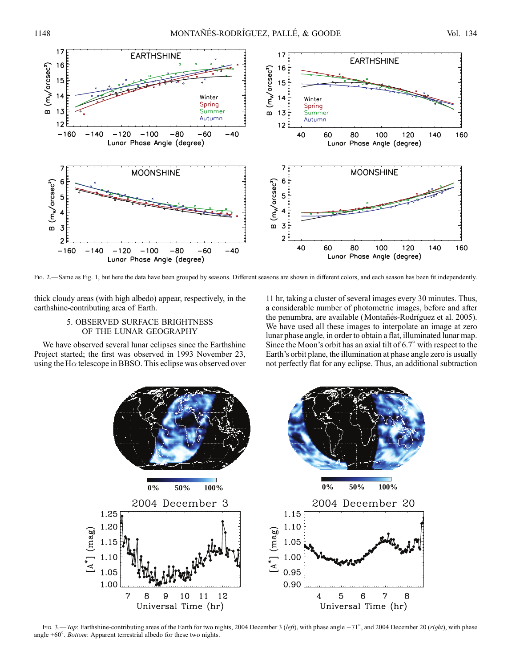

Fig. 2.—Same as Fig. 1, but here the data have been grouped by seasons. Different seasons are shown in different colors, and each season has been fit independently.

thick cloudy areas (with high albedo) appear, respectively, in the earthshine-contributing area of Earth.

# 5. OBSERVED SURFACE BRIGHTNESS OF THE LUNAR GEOGRAPHY

We have observed several lunar eclipses since the Earthshine Project started; the first was observed in 1993 November 23, using the H $\alpha$  telescope in BBSO. This eclipse was observed over

11 hr, taking a cluster of several images every 30 minutes. Thus, a considerable number of photometric images, before and after the penumbra, are available (Montañés-Rodríguez et al. 2005). We have used all these images to interpolate an image at zero lunar phase angle, in order to obtain a flat, illuminated lunar map. Since the Moon's orbit has an axial tilt of  $6.7^\circ$  with respect to the Earth's orbit plane, the illumination at phase angle zero is usually not perfectly flat for any eclipse. Thus, an additional subtraction



Fig. 3.—Top: Earthshine-contributing areas of the Earth for two nights, 2004 December 3 (left), with phase angle  $-71^\circ$ , and 2004 December 20 (right), with phase angle  $+60^\circ$ . Bottom: Apparent terrestrial albedo for these two nights.